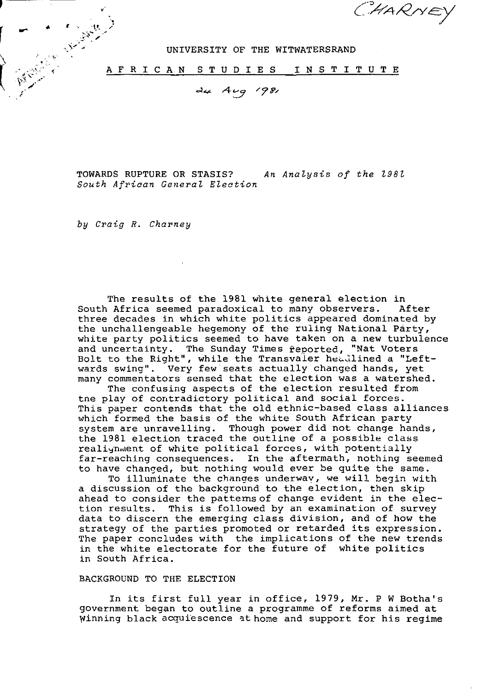CHARNEY

UNIVERSITY OF THE WITWATERSRAND

AFRICAN STUDIES INSTITUTE

24 Aug 1981

TOWARDS RUPTURE OR STASIS? An Analysis of the 1981 South African General Election

by Craig R. Charney

The results of the 1981 white general election in South Africa seemed paradoxical to many observers. After three decades in which white politics appeared dominated by the unchallengeable hegemony of the ruling National Party, white party politics seemed to have taken on a new turbulence and uncertainty. The Sunday Times reported, "Nat Voters Bolt to the Right", while the Transvaler headlined a "Leftwards swing". Very few seats actually changed hands, yet many commentators sensed that the election was a watershed.

The confusing aspects of the election resulted from tne play of contradictory political and social forces. This paper contends that the old ethnic-based class alliances which formed the basis of the white South African party system are unravelling. Though power did not change hands, the 1981 election traced the outline of a possible class realignment of white political forces, with potentially far-reaching consequences. In the aftermath, nothing seemed to have changed, but nothing would ever be quite the same.

To illuminate the changes underway, we will begin with a discussion of the background to the election, then skip ahead to consider the pattems of change evident in the election results. This is followed by an examination of survey data to discern the emerging class division, and of how the strategy of the parties promoted or retarded its expression. The paper concludes with the implications of the new trends in the white electorate for the future of white politics in South Africa.

### BACKGROUND TO THE ELECTION

In its first full year in office, 1979, Mr. P W Botha's government began to outline a programme of reforms aimed at winning black acquiescence at home and support for his regime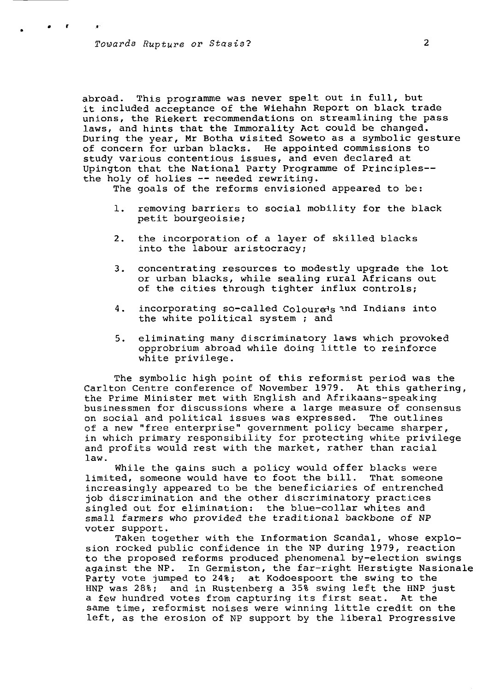abroad. This programme was never spelt out in full, but it included acceptance of the Wiehahn Report on black trade unions, the Riekert recommendations on streamlining the pass laws, and hints that the Immorality Act could be changed. During the year, Mr Botha visited Soweto as a symbolic gesture of concern for urban blacks. He appointed commissions to study various contentious issues, and even declared at Upington that the National Party Programme of Principles the holy of holies — needed rewriting.

The goals of the reforms envisioned appeared to be:

- 1. removing barriers to social mobility for the black petit bourgeoisie;
- 2. the incorporation of a layer of skilled blacks into the labour aristocracy;
- 3. concentrating resources to modestly upgrade the lot or urban blacks, while sealing rural Africans out of the cities through tighter influx controls;
- 4. incorporating so-called Colourels and Indians into the white political system ; and
- 5. eliminating many discriminatory laws which provoked opprobrium abroad while doing little to reinforce white privilege.

The symbolic high point of this reformist period was the Carlton Centre conference of November 1979. At this gathering, the Prime Minister met with English and Afrikaans-speaking businessmen for discussions where a large measure of consensus on social and political issues was expressed. The outlines of a new "free enterprise" government policy became sharper, in which primary responsibility for protecting white privilege and profits would rest with the market, rather than racial law.

While the gains such a policy would offer blacks were limited, someone would have to foot the bill. That someone increasingly appeared to be the beneficiaries of entrenched job discrimination and the other discriminatory practices singled out for elimination: the blue-collar whites and small farmers who provided the traditional backbone of NP voter support.

Taken together with the Information Scandal, whose explosion rocked public confidence in the NP during 1979, reaction to the proposed reforms produced phenomenal by-election swings against the NP. In Germiston, the far-right Herstigte Nasionale Party vote jumped to 24%; at Kodoespoort the swing to the HNP was 28%; and in Rustenberg a 35% swing left the HNP just a few hundred votes from capturing its first seat. At the same time, reformist noises were winning little credit on the left, as the erosion of NP support by the liberal Progressive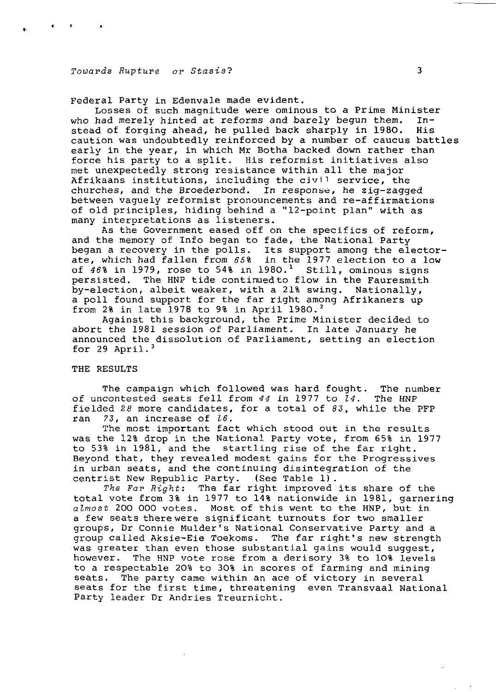Federal Party in Edenvale made evident.

Losses of such magnitude were ominous to a Prime Minister who had merely hinted at reforms and barely begun them. Instead of forging ahead, he pulled back sharply in 1980. His caution was undoubtedly reinforced by a number of caucus battles early in the year, in which Mr Botha backed down rather than force his party to a split. His reformist initiatives also met unexpectedly strong resistance within all the major Afrikaans institutions, including the civil service, the churches, and the Broederbond. In response, he zig-zagged between vaguely reformist pronouncements and re-affirmations of old principles, hiding behind a "12-point plan" with as many interpretations as listeners.

As the Government eased off on the specifics of reform, and the memory of Info began to fade, the National Party began a recovery in the polls. Its support among the electorate, which had fallen from 65% in the 1977 election to a low of  $46\$  in 1979, rose to 54% in 1980.<sup>1</sup> Still, ominous signs persisted. The HNP tide continued to flow in the Fauresmith by-election, albeit weaker, with a 21% swing. Nationally, a poll found support for the far right among Afrikaners up from 2% in late 1978 to 9% in April 1980.<sup>2</sup>

Against this background, the Prime Minister decided to abort the 1981 session of Parliament. In late January he announced the dissolution of Parliament, setting an election for 29 April. $3$ 

#### THE RESULTS

The campaign which followed was hard fought. The number of uncontested seats fell from 44 in 1977 to  $24$ . The HNP fielded 28 more candidates, for a total of  $83$ , while the PFP ran  $73$ , an increase of  $16$ .

The most important fact which stood out in the results was the 12% drop in the National Party vote, from 65% in 1977 to 53% in 1981, and the startling rise of the far right. Beyond that, they revealed modest gains for the Progressives in urban seats, and the continuing disintegration of the centrist New Republic Party. (See Table 1) .

The Far Right: The far right improved its share of the total vote from 3% in 1977 to 14% nationwide in 1981, garnering almost 200 000 votes. Most of this went to the HNP, but in a few seats there were significant turnouts for two smaller groups, Dr Connie Mulder's National Conservative Party and a group called Aksie-Eie Toekoms. The far right's new strength was greater than even those substantial gains would suggest, however. The HNP vote rose from a derisory 3% to 10% levels to a respectable 20% to 30% in scores of farming and mining seats. The party came within an ace of victory in several seats for the first time, threatening even Transvaal National Party leader Dr Andries Treurnicht.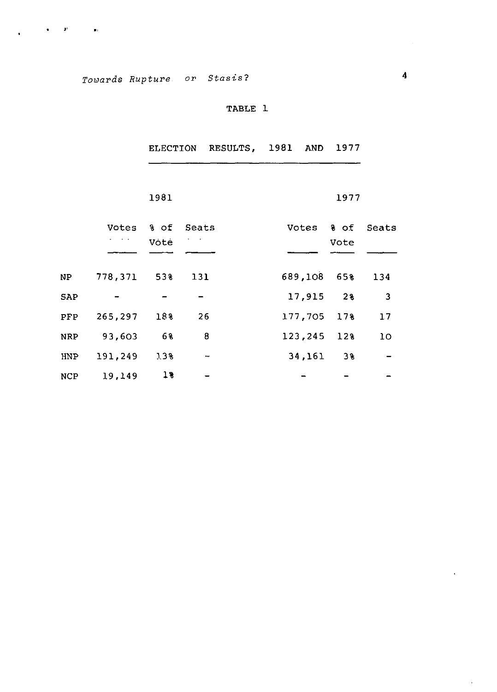$\mathbf{u} = \mathbf{u} \mathbf{v}$  . The  $\mathbf{u} = \mathbf{u} \mathbf{v}$ 

TABLE 1

|            |               |      |                          | ELECTION RESULTS, 1981 AND 1977 |         |             |              |
|------------|---------------|------|--------------------------|---------------------------------|---------|-------------|--------------|
|            |               |      |                          |                                 |         |             |              |
|            |               | 1981 |                          |                                 |         | 1977        |              |
|            | Votes         | % of | Seats                    |                                 | Votes   | 8 of        | Seats        |
|            |               | Vote |                          |                                 |         | Vote        |              |
|            |               |      |                          |                                 |         |             |              |
| NP         | $778,371$ 53% |      | 131                      |                                 |         | 689,108 65% | 134          |
| SAP        |               |      |                          |                                 | 17,915  | 28          | $\mathbf{3}$ |
| PFP        | 265,297       | 188  | 26                       |                                 | 177,705 | 17%         | 17           |
| <b>NRP</b> | 93,603        | 68   | 8                        |                                 | 123,245 | 12%         | 10           |
| HNP        | 191,249       | 7.3% | $\overline{\phantom{0}}$ |                                 | 34,161  | 38          |              |
| <b>NCP</b> | 19,149        | 18   |                          |                                 |         |             |              |

 $\mathbf{v}^{\prime}$ 

 $\hat{\mathcal{E}}$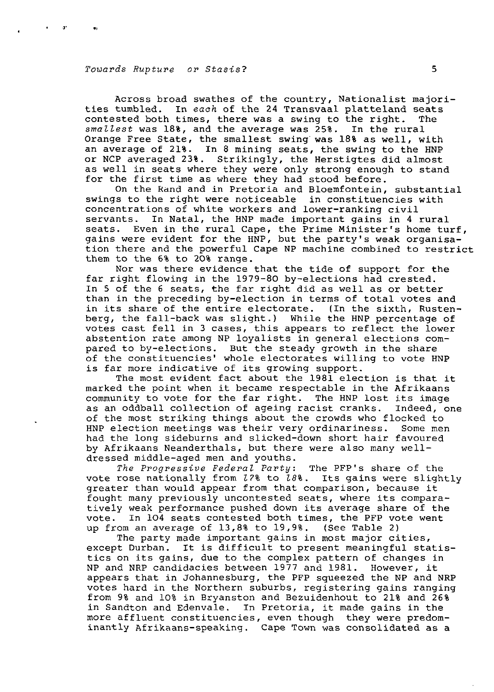$-$  and

Across broad swathes of the country, Nationalist majorities tumbled. In eaoh of the 24 Transvaal platteland seats contested both times, there was a swing to the right. The smallest was 18%, and the average was 25%. In the rural Orange Free State, the smallest swing was 18% as well, with an average of 21%. In 8 mining seats, the swing to the HNP or NCP averaged 23%. Strikingly, the Herstigtes did almost as well in seats where they were only strong enough to stand for the first time as where they had stood before.

On the Rand and in Pretoria and Bloemfontein, substantial swings to the right were noticeable in constituencies with concentrations of white workers and lower-ranking civil servants. In Natal, the HNP made important gains in 4 rural seats. Even in the rural Cape, the Prime Minister's home turf, gains were evident for the HNP, but the party's weak organisation there and the powerful Cape NP machine combined to restrict them to the 6% to 20% range.

Nor was there evidence that the tide of support for the far right flowing in the 1979-80 by-elections had crested. In 5 of the 6 seats, the far right did as well as or better than in the preceding by-election in terms of total votes and<br>in its share of the entire electorate. (In the sixth, Rustenin its share of the entire electorate. berg, the fall-back was slight.) While the HNP percentage of votes cast fell in 3 cases, this appears to reflect the lower abstention rate among NP loyalists in general elections compared to by-elections. But the steady growth in the share of the constituencies' whole electorates willing to vote HNP is far more indicative of its growing support.

The most evident fact about the 1981 election is that it marked the point when it became respectable in the Afrikaans community to vote for the far right. The HNP lost its image as an oddball collection of ageing racist cranks. Indeed, one of the most striking things about the crowds who flocked to HNP election meetings was their very ordinariness. Some men had the long sideburns and slicked-down short hair favoured by Afrikaans Neanderthals, but there were also many welldressed middle-aged men and youths.

The Progressive Federal Party: The PFP's share of the vote rose nationally from 17% to 18%. Its gains were slightly greater than would appear from that comparison, because it fought many previously uncontested seats, where its comparatively weak performance pushed down its average share of the vote. In 104 seats contested both times, the PFP vote went up from an average of 13,8% to 19,9%. (See Table 2)

The party made important gains in most major cities, except Durban. It is difficult to present meaningful statistics on its gains, due to the complex pattern of changes in NP and NRP candidacies between 1977 and 1981. However, it appears that in Johannesburg, the PFP squeezed the NP and NRP votes hard in the Northern suburbs, registering gains ranging from 9% and 10% in Bryanston and Bezuidenhout to 21% and 26% in Sandton and Edenvale. In Pretoria, it made gains in the more affluent constituencies, even though they were predominantly Afrikaans-speaking. Cape Town was consolidated as a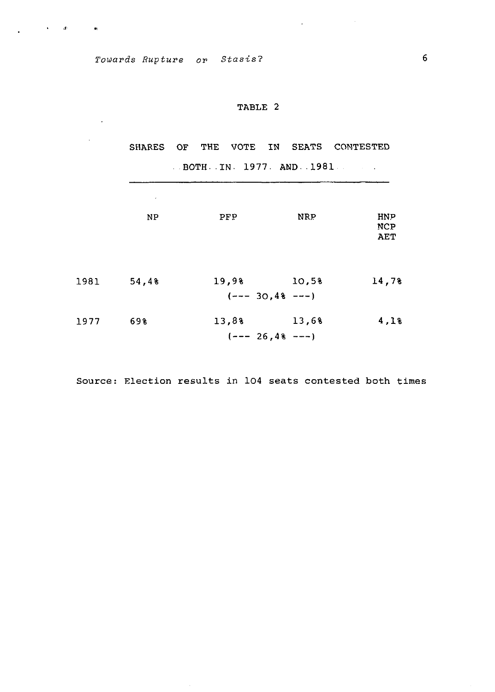$\mathbf{v} = \mathbf{v} \mathbf{v}$  . In the second contract  $\mathbf{w}$ 

 $\sim$ 

J.

## TABLE 2

 $\mathcal{L}_{\text{max}}$  and  $\mathcal{L}_{\text{max}}$  and  $\mathcal{L}_{\text{max}}$ 

SHARES OF THE VOTE IN SEATS CONTESTED BOTH.IN. 1977. AND. 1981

|      | $\epsilon$ |       |                              |                                        |
|------|------------|-------|------------------------------|----------------------------------------|
|      | <b>NP</b>  | PFP   | <b>NRP</b>                   | <b>HNP</b><br><b>NCP</b><br><b>AET</b> |
| 1981 | 54,4%      | 19,9% | 10,5%<br>$(---30, 4% ---)$   | 14,7%                                  |
| 1977 | 698        | 13,8% | 13,6%<br>$(--- 26, 4% --- )$ | 4,18                                   |

Source: Election results in 104 seats contested both times

 $\sim$ 

 $\sim$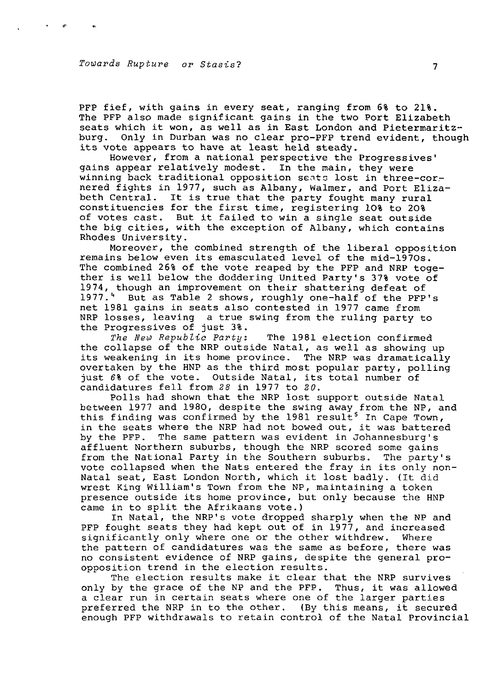PFP fief, with gains in every seat, ranging from 6% to 21%. The PFP also made significant gains in the two Port Elizabeth seats which it won, as well as in East London and Pietermaritzburg. Only in Durban was no clear pro-PFP trend evident, though its vote appears to have at least held steady.

However, from a national perspective the Progressives' gains appear relatively modest. In the main, they were winning back traditional opposition sents lost in three-cornered fights in 1977, such as Albany, Walmer, and Port Elizabeth Central. It is true that the party fought many rural constituencies for the first time, registering 10% to 20% of votes cast. But it failed to win a single seat outside the big cities, with the exception of Albany, which contains Rhodes University.

Moreover, the combined strength of the liberal opposition remains below even its emasculated level of the mid-1970s. The combined 26% of the vote reaped by the PFP and NRP together is well below the doddering United Party's 37% vote of 1974, though an improvement on their shattering defeat of 1977. <sup>4</sup> But as Table 2 shows, roughly one-half of the PFP's net 1981 gains in seats also contested in 1977 came from NRP losses, leaving a true swing from the ruling party to the Progressives of just 3%.

The New Republic Party: The 1981 election confirmed the collapse of the NRP outside Natal, as well as showing up its weakening in its home province. The NRP was dramatically overtaken by the HNP as the third most popular party, polling just 6% of the vote. Outside Natal, its total number of candidatures fell from 28 in 1977 to 20.

Polls had shown that the NRP lost support outside Natal between 1977 and 1980, despite the swing away from the NP, and this finding was confirmed by the 1981 result<sup>5</sup> In Cape Town, in the seats where the NRP had not bowed out, it was battered by the PFP. The same pattern was evident in Johannesburg's affluent Northern suburbs, though the NRP scored some gains from the National Party in the Southern suburbs. The party's vote collapsed when the Nats entered the fray in its only non-Natal seat, East London North, which it lost badly. (It did wrest King William's Town from the NP, maintaining a token presence outside its home province, but only because the HNP came in to split the Afrikaans vote.)

In Natal, the NRP's vote dropped sharply when the NP and PFP fought seats they had kept out of in 1977, and increased significantly only where one or the other withdrew. Where the pattern of candidatures was the same as before, there was no consistent evidence of NRP gains, despite the general proopposition trend in the election results.

The election results make it clear that the NRP survives only by the grace of the NP and the PFP. Thus, it was allowed a clear run in certain seats where one of the larger parties preferred the NRP in to the other. (By this means, it secured enough PFP withdrawals to retain control of the Natal Provincial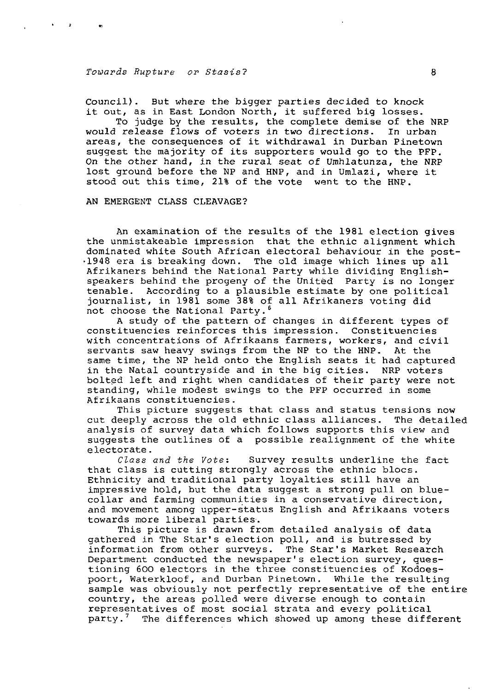$\mathbf{r}$ 

Council). But where the bigger parties decided to knock it out, as in East London North, it suffered big losses.

To judge by the results, the complete demise of the NRP would release flows of voters in two directions. In urban areas, the consequences of it withdrawal in Durban Pinetown suggest the majority of its supporters would go to the PFP. On the other hand, in the rural seat of Umhlatunza, the NRP lost ground before the NP and HNP, and in Umlazi, where it stood out this time, 21% of the vote went to the HNP.

AN EMERGENT CLASS CLEAVAGE?

An examination of the results of the 1981 election gives the unmistakeable impression that the ethnic alignment which dominated white South African electoral behaviour in the post- •1948 era is breaking down. The old image which lines up all Afrikaners behind the National Party while dividing Englishspeakers behind the progeny of the United Party is no longer tenable. According to a plausible estimate by one political journalist, in 1981 some 38% of all Afrikaners voting did not choose the National Party.<sup>6</sup>

A study of the pattern of changes in different types of constituencies reinforces this impression. Constituencies with concentrations of Afrikaans farmers, workers, and civil servants saw heavy swings from the NP to the HNP. At the same time, the NP held onto the English seats it had captured in the Natal countryside and in the big cities. NRP voters bolted left and right when candidates of their party were not standing, while modest swings to the PFP occurred in some Afrikaans constituencies.

This picture suggests that class and status tensions now cut deeply across the old ethnic class alliances. The detailed analysis of survey data which follows supports this view and suggests the outlines of a possible realignment of the white electorate.

Class and the Vote: Survey results underline the fact that class is cutting strongly across the ethnic blocs. Ethnicity and traditional party loyalties still have an impressive hold, but the data suggest a strong pull on bluecollar and farming communities in a conservative direction, and movement among upper-status English and Afrikaans voters towards more liberal parties.

This picture is drawn from detailed analysis of data gathered in The Star's election poll, and is butressed by<br>information from other surveys. The Star's Market Research information from other surveys. Department conducted the newspaper's election survey, questioning 600 electors in the three constituencies of Kodoespoort, Waterkloof, and Durban Pinetown. While the resulting sample was obviously not perfectly representative of the entire country, the areas polled were diverse enough to contain representatives of most social strata and every political party.<sup>7</sup> The differences which showed up among these different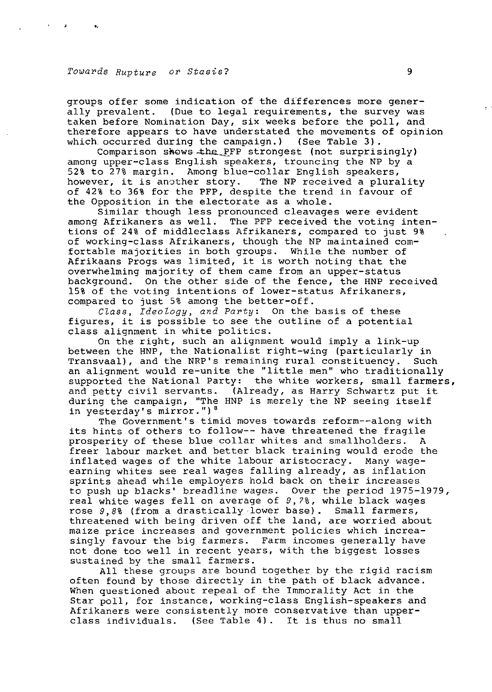groups offer some indication of the differences more generally prevalent. (Due to legal requirements, the survey was taken before Nomination Day, six weeks before the poll, and therefore appears to have understated the movements of opinion which occurred during the campaign.) (See Table 3).

Comparison shows the PFP strongest (not surprisingly) among upper-class English speakers, trouncing the NP by a 52% to 27% margin. Among blue-collar English speakers, however, it is another story. The NP received a plurality of 42% to 36% for the PFP, despite the trend in favour of the Opposition in the electorate as a whole.

Similar though less pronounced cleavages were evident among Afrikaners as well. The PFP received the voting intentions of 24% of middleclass Afrikaners, compared to just 9% of working-class Afrikaners, though the NP maintained comfortable majorities in both groups. While the number of Afrikaans Progs was limited, it is worth noting that the overwhelming majority of them came from an upper-status background. On the other side of the fence, the HNP received 15% of the voting intentions of lower-status Afrikaners, compared to just 5% among the better-off.

Class, Ideology, and Party: On the basis of these figures, it is possible to see the outline of a potential class alignment in white politics.

On the right, such an alignment would imply a link-up between the HNP, the Nationalist right-wing (particularly in Transvaal), and the NRP's remaining rural constituency. Such an alignment would re-unite the "little men" who traditionally supported the National Party: the white workers, small farmers, and petty civil servants. (Already, as Harry Schwartz put it during the campaign, "The HNP is merely the NP seeing itself in yesterday's mirror.")<sup>8</sup>

The Government's timid moves towards reform—along with its hints of others to follow-- have threatened the fragile prosperity of these blue collar whites and smallholders. A freer labour market and better black training would erode the inflated wages of the white labour aristocracy. Many wageearning whites see real wages falling already, as inflation sprints ahead while employers hold back on their increases to push up blacks' breadline wages. Over the period 1975-1979, real white wages fell on average of 9,7%, while black wages rose 9,8% (from a drastically-lower base). Small farmers, threatened with being driven off the land, are worried about maize price increases and government policies which increasingly favour the big farmers. Farm incomes generally have not done too well in recent years, with the biggest losses sustained by the small farmers.

All these groups are bound together by the rigid racism often found by those directly in the path of black advance. When questioned about repeal of the Immorality Act in the Star poll, for instance, working-class English-speakers and Afrikaners were consistently more conservative than upperclass individuals. (See Table 4). It is thus no small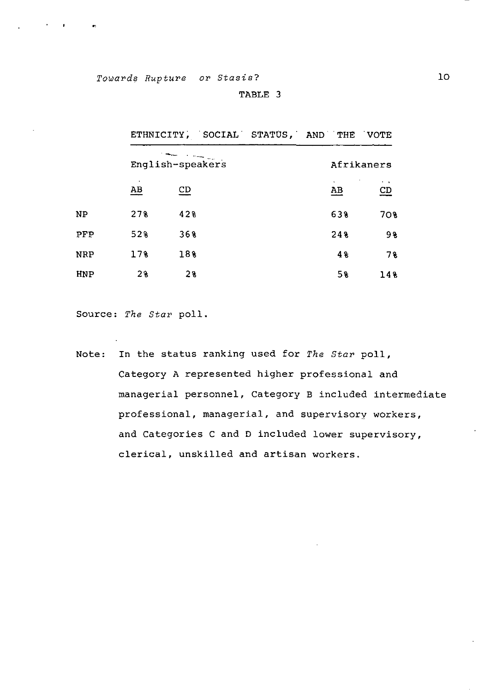| <b>ABLE</b> |  |
|-------------|--|
|-------------|--|

|            |                  |                |  | ETHNICITY, SOCIAL STATUS, AND THE VOTE |                                          |
|------------|------------------|----------------|--|----------------------------------------|------------------------------------------|
|            | English-speakers |                |  |                                        | Afrikaners                               |
|            | $\underline{AB}$ | CD             |  | $\mathbf{A}$<br>$\underline{AB}$       | $\sim$ $\,$<br>$\underline{\mathsf{CD}}$ |
| NΡ         | 278              | 428            |  | 638                                    | 70 <sub>8</sub>                          |
| PFP        | 52%              | 36%            |  | 248                                    | 98                                       |
| <b>NRP</b> | 17%              | 18%            |  | 48                                     | 78                                       |
| <b>HNP</b> | 2 <sub>8</sub>   | 2 <sub>3</sub> |  | 5%                                     | 14%                                      |

Source: The Star poll.

Note: In the status ranking used for The Star poll, Category A represented higher professional and managerial personnel, Category B included intermediate professional, managerial, and supervisory workers, and Categories C and D included lower supervisory, clerical, unskilled and artisan workers.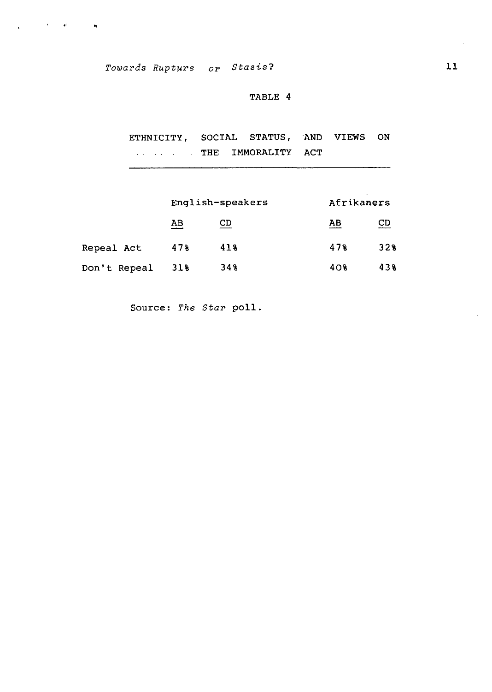$\mathcal{L}^{\text{max}}(\mathbf{r},\mathbf{r})$  and  $\mathcal{L}^{\text{max}}(\mathbf{r},\mathbf{r})$  . We are

 $\mathbf{r}$ 

## **TABLE 4**

**ETHNICITY, SOCIAL STATUS, AND VIEWS ON THE IMMORALITY ACT** 

|              |     | English-speakers | Afrikaners      |           |
|--------------|-----|------------------|-----------------|-----------|
|              | AB  | CD               | AB              | <b>CD</b> |
| Repeal Act   | 478 | 418              | 478             | 328       |
| Don't Repeal | 31% | 348              | 40 <sub>8</sub> | 438       |

**Source:** The Star **poll.**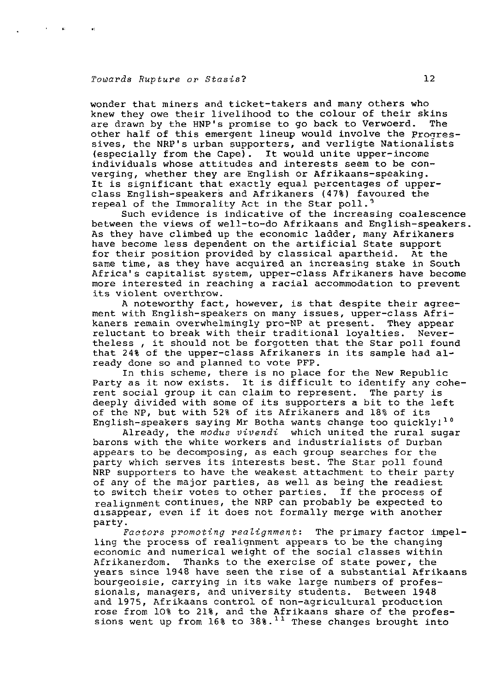$\mathcal{A}^{\text{max}}_{\text{max}}$  and  $\mathcal{A}^{\text{max}}_{\text{max}}$ 

wonder that miners and ticket-takers and many others who knew they owe their livelihood to the colour of their skins<br>are drawn by the HNP's promise to go back to Verwoerd. The are drawn by the HNP's promise to go back to Verwoerd. other half of this emergent lineup would involve the Progressives, the NRP's urban supporters, and verligte Nationalists (especially from the Cape). It would unite upper-income individuals whose attitudes and interests seem to be converging, whether they are English or Afrikaans-speaking. It is significant that exactly equal percentages of upperclass English-speakers and Afrikaners (47%) favoured the repeal of the Immorality Act in the Star poll.<sup>9</sup>

Such evidence is indicative of the increasing coalescence between the views of well-to-do Afrikaans and English-speakers. As they have climbed up the economic ladder, many Afrikaners have become less dependent on the artificial State support for their position provided by classical apartheid. At the same time, as they have acquired an increasing stake in South Africa's capitalist system, upper-class Afrikaners have become more interested in reaching a racial accommodation to prevent its violent overthrow.

A noteworthy fact, however, is that despite their agreement with English-speakers on many issues, upper-class Afrikaners remain overwhelmingly pro-NP at present. They appear reluctant to break with their traditional loyalties. Nevertheless , it should not be forgotten that the Star poll found that 24% of the upper-class Afrikaners in its sample had already done so and planned to vote PFP.

In this scheme, there is no place for the New Republic Party as it now exists. It is difficult to identify any coherent social group it can claim to represent. The party is deeply divided with some of its supporters a bit to the left of the NP, but with 52% of its Afrikaners and 18% of its English-speakers saying Mr Botha wants change too quickly!<sup>10</sup>

Already, the modus vivendi which united the rural sugar barons with the white workers and industrialists of Durban appears to be decomposing, as each group searches for the party which serves its interests best. The Star poll found NRP supporters to have the weakest attachment to their party of any of the major parties, as well as being the readiest to switch their votes to other parties. if the process of realignment continues, the NRP can probably be expected to disappear, even if it does not formally merge with another party.

Factors promoting realignment: The primary factor impelling the process of realignment appears to be the changing economic and numerical weight of the social classes within Afrikanerdom. Thanks to the exercise of state power, the years since 1948 have seen the rise of a substantial Afrikaans bourgeoisie, carrying in its wake large numbers of professionals, managers, and university students. Between 1948 and 1975, Afrikaans control of non-agricultural production rose from 10% to 21%, and the Afrikaans share of the professions went up from  $16\$  to  $38\$ .<sup>11</sup> These changes brought into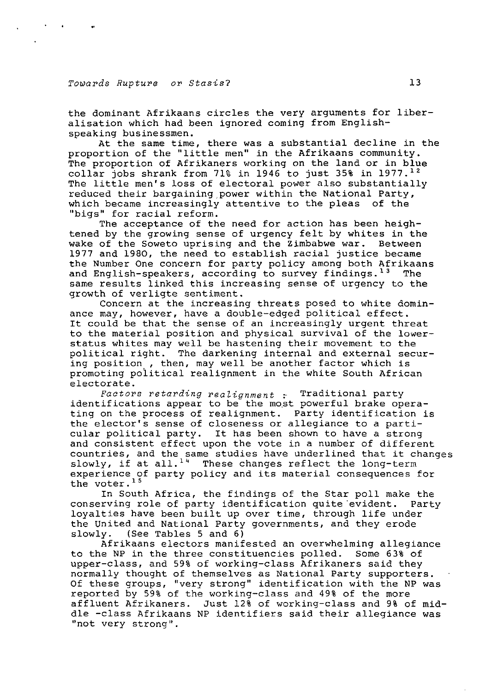the dominant Afrikaans circles the very arguments for liberalisation which had been ignored coming from Englishspeaking businessmen.

At the same time, there was a substantial decline in the proportion of the "little men" in the Afrikaans community. The proportion of Afrikaners working on the land or in blue  $\text{collar}$  jobs shrank from 71% in 1946 to just 35% in 1977.<sup>12</sup> The little men's loss of electoral power also substantially reduced their bargaining power within the National Party, which became increasingly attentive to the pleas of the "bigs" for racial reform.

The acceptance of the need for action has been heightened by the growing sense of urgency felt by whites in the wake of the Soweto uprising and the Zimbabwe war. Between 1977 and 1980, the need to establish racial justice became the Number One concern for party policy among both Afrikaans and English-speakers, according to survey findings.<sup>13</sup> The same results linked this increasing sense of urgency to the growth of verligte sentiment.

Concern at the increasing threats posed to white dominance may, however, have a double-edged political effect. It could be that the sense of an increasingly urgent threat to the material position and physical survival of the lowerstatus whites may well be hastening their movement to the political right. The darkening internal and external securing position , then, may well be another factor which is promoting political realignment in the white South African electorate.

Factors retarding realignment  $:$  Traditional party identifications appear to be" the most powerful brake operating on the process of realignment. Party identification is the elector's sense of closeness or allegiance to a particular political party. It has been shown to have a strong and consistent effect upon the vote in a number of different countries, and the same studies have underlined that it changes slowly, if at all.<sup>14</sup> These changes reflect the long-term experience of party policy and its material consequences for the voter.<sup>15</sup>

In South Africa, the findings of the Star poll make the conserving role of party identification quite evident. Party loyalties have been built up over time, through life under the United and National Party governments, and they erode slowly. (See Tables 5 and 6)

Afrikaans electors manifested an overwhelming allegiance to the NP in the three constituencies polled. Some 63% of upper-class, and 59% of working-class Afrikaners said they normally thought of themselves as National Party supporters. Of these groups, "very strong" identification with the NP was reported by 59% of the working-class and 49% of the more affluent Afrikaners. Just 12% of working-class and 9% of middle -class Afrikaans NP identifiers said their allegiance was "not very strong".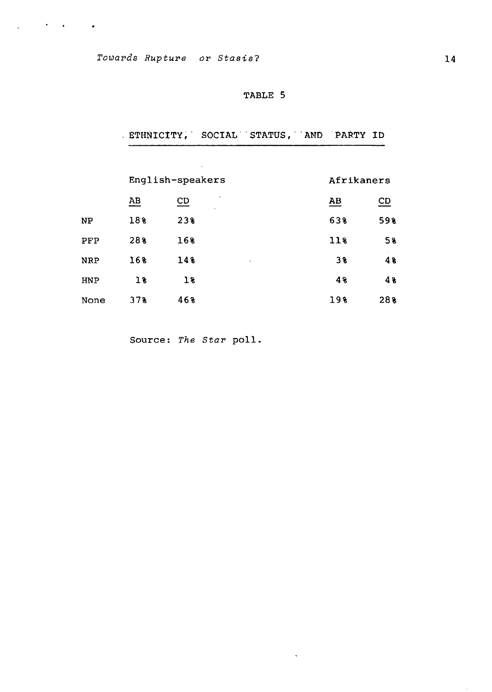$\chi^2_{\rm{max}}$  , where  $\chi^2_{\rm{max}}$  ,  $\chi^2_{\rm{max}}$ 

# **TABLE 5**

|            |                  |                           | ETHNICITY, SOCIAL STATUS, AND PARTY ID |                 |     |
|------------|------------------|---------------------------|----------------------------------------|-----------------|-----|
|            |                  |                           |                                        |                 |     |
|            |                  | English-speakers          |                                        | Afrikaners      |     |
|            | $\underline{AB}$ | $\underline{\mathsf{CD}}$ |                                        | $\overline{AB}$ | CD  |
| NP         | 18%              | 23%                       |                                        | 638             | 59% |
| PFP        | 28%              | 16%                       |                                        | $11$ %          | 5%  |
| <b>NRP</b> | 16%              | 14%                       |                                        | 3%              | 4%  |
| HNP        | 18               | 18                        |                                        | 48              | 48  |
| None       | 378              | 46%                       |                                        | 198             | 28% |

 $\mathcal{L}$ 

Source: The Star poll.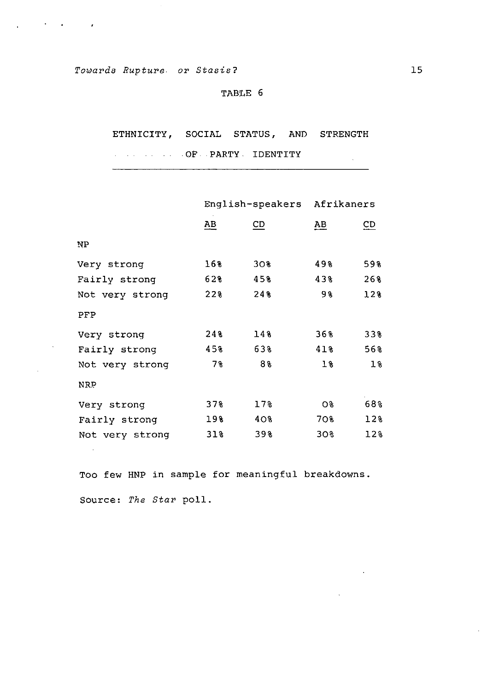$\mathcal{L}^{\text{max}}(\mathcal{L}^{\text{max}})$  , where  $\mathcal{L}^{\text{max}}(\mathcal{L}^{\text{max}})$ 

 $\bar{\lambda}$ 

## TABLE 6

ETHNICITY, SOCIAL STATUS, AND STRENGTH

OF PARTY - IDENTITY

|                         | English-speakers Afrikaners |  |
|-------------------------|-----------------------------|--|
| AВ                      | CD                          |  |
|                         |                             |  |
| 49%<br>30 <sub>8</sub>  | 59%                         |  |
| 43%<br>45%              | 26%                         |  |
| 98<br>24%               | 12%                         |  |
|                         |                             |  |
| 36%<br>14%              | 338                         |  |
| 41%<br>63%              | 56%                         |  |
| 88<br>$1\%$             | $1\%$                       |  |
|                         |                             |  |
| $17$ %<br><b>O&amp;</b> | 68%                         |  |
| 40%<br>70%              | 12 <sub>8</sub>             |  |
| 39%<br>30%              | 12%                         |  |
|                         |                             |  |

Too few HNP in sample for meaningful breakdowns Source: The Star poll.

 $\sim 10$ 

 $\sim 10^{11}$ 

 $\sim 10^7$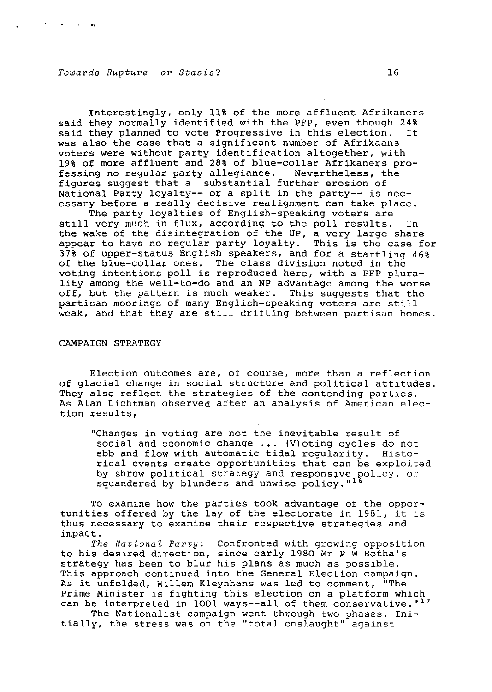**Contract Contract Contract Contract** 

Interestingly, only 11% of the more affluent Afrikaners said they normally identified with the PFP, even though 24% said they planned to vote Progressive in this election. It was also the case that a significant number of Afrikaans voters were without party identification altogether, with 19% of more affluent and 28% of blue-collar Afrikaners professing no regular party allegiance. Nevertheless, the figures suggest that a substantial further erosion of National Party loyalty— or a split in the party— is necessary before a really decisive realignment can take place.

The party loyalties of English-speaking voters are still very much in flux, according to the poll results. In the wake of the disintegration of the UP, a very large share appear to have no regular party loyalty. This is the case for 37% of upper-status English speakers, and for a startling 46% of the blue-collar ones. The class division noted in the voting intentions poll is reproduced here, with a PFP plurality among the well-to-do and an NP advantage among the worse off, but the pattern is much weaker. This suggests that the partisan moorings of many English-speaking voters are still weak, and that they are still drifting between partisan homes.

#### CAMPAIGN STRATEGY

Election outcomes are, of course, more than a reflection of glacial change in social structure and political attitudes They also reflect the strategies of the contending parties. As Alan Lichtman observed after an analysis of American election results,

"Changes in voting are not the inevitable result of social and economic change ... (V) oting cycles do not ebb and flow with automatic tidal reqularity. Histoebb and flow with automatic tidal regularity. rical events create opportunities that can be exploited by shrew political strategy and responsive policy, oxsquandered by blunders and unwise policy."<sup>1</sup>

To examine how the parties took advantage of the opportunities offered by the lay of the electorate in 1981, it is thus necessary to examine their respective strategies and impact.

The National Party: Confronted with growing opposition to his desired direction, since early 1980 Mr P W Botha's strategy has been to blur his plans as much as possible. This approach continued into the General Election campaign. As it unfolded, Willem Kleynhans was led to comment, "The Prime Minister is fighting this election on a platform which can be interpreted in 1001 ways--all of them conservative."<sup>17</sup>

The Nationalist campaign went through two phases. Initially, the stress was on the "total onslaught" against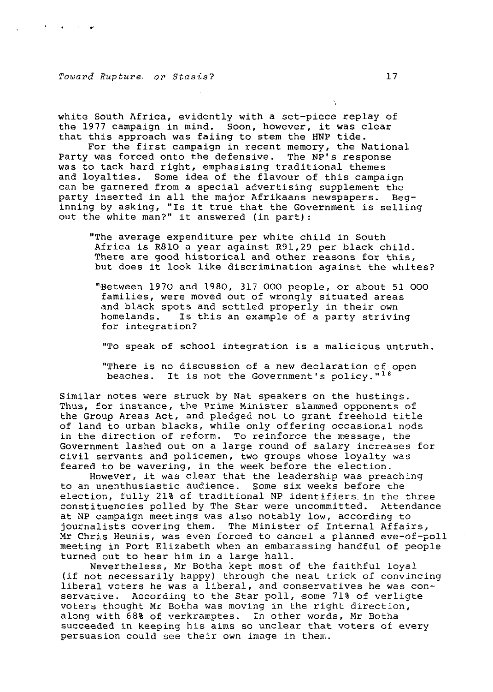white South Africa, evidently with a set-piece replay of the 1977 campaign in mind. Soon, however, it was clear that this approach was faiing to stem the HNP tide.

For the first campaign in recent memory, the National Party was forced onto the defensive. The NP's response was to tack hard right, emphasising traditional themes and loyalties. Some idea of the flavour of this campaign can be garnered from a special advertising supplement the party inserted in all the major Afrikaans newspapers. Beginning by asking, "Is it true that the Government is selling out the white man?" it answered (in part):

"The average expenditure per white child in South Africa is R810 a year against R91,29 per black child. There are good historical and other reasons for this, but does it look like discrimination against the whites?

"Between 1970 and 1980, 317 000 people, or about 51 000 families, were moved out of wrongly situated areas and black spots and settled properly in their own homelands. Is this an example of a party striving for integration?

"To speak of school integration is a malicious untruth.

"There is no discussion of a new declaration of open beaches. It is not the Government's policy."<sup>18</sup>

Similar notes were struck by Nat speakers on the hustings. Thus, for instance, the Prime Minister slammed opponents of the Group Areas Act, and pledged not to grant freehold title of land to urban blacks, while only offering occasional nods in the direction of reform. To reinforce the message, the Government lashed out on a large round of salary increases for civil servants and policemen, two groups whose loyalty was feared to be wavering, in the week before the election.

However, it was clear that the leadership was preaching to an unenthusiastic audience. Some six weeks before the election, fully 21% of traditional NP identifiers, in the three constituencies polled by The Star were uncommitted. Attendance at NP campaign meetings was also notably low, according to journalists covering them. The Minister of Internal Affairs, Mr Chris Heunis, was even forced to cancel a planned eve-of-poll meeting in Port Elizabeth when an embarassing handful of people turned out to hear him in a large hall.

Nevertheless, Mr Botha kept most of the faithful loyal (if not necessarily happy) through the neat trick of convincing liberal voters he was a liberal, and conservatives he was conservative. According to the Star poll, some 71% of verligte voters thought Mr Botha was moving in the right direction, along with 68% of verkramptes. In other words, Mr Botha succeeded in keeping his aims so unclear that voters of every persuasion could see their own image in them.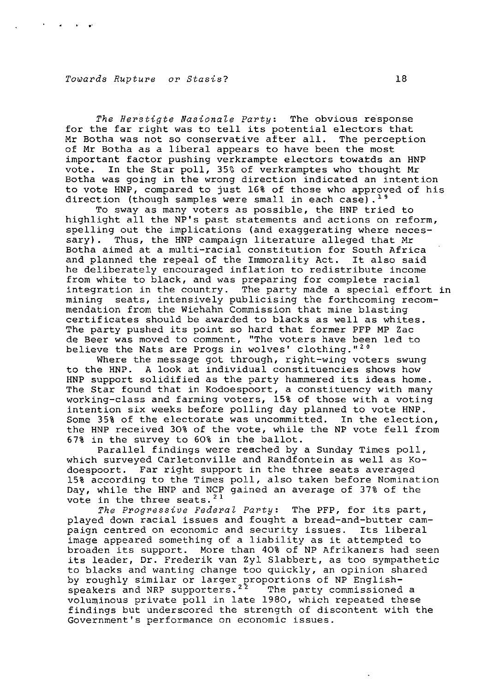The Herstigte Nasionale Party: The obvious response for the far right was to tell its potential electors that Mr Botha was not so conservative after all. The perception of Mr Botha as a liberal appears to have been the most important factor pushing verkrampte electors towatds an HNP vote. In the Star poll, 35% of verkramptes who thought Mr Botha was going in the wrong direction indicated an intention to vote HNP, compared to just 16% of those who approved of his direction (though samples were small in each case).<sup>19</sup>

To sway as many voters as possible, the HNP tried to highlight all the NP's past statements and actions on reform, spelling out the implications (and exaggerating where necessary) . Thus, the HNP campaign literature alleged that Mr Botha aimed at a multi-racial constitution for South Africa and planned the repeal of the Immorality Act. It also said he deliberately encouraged inflation to redistribute income from white to black, and was preparing for complete racial integration in the country. The party made a special effort in mining seats, intensively publicising the forthcoming recommanary control of the Wiehahn Commission that mine blasting certificates should be awarded to blacks as well as whites. The party pushed its point so hard that former PFP MP Zac de Beer was moved to comment, "The voters have been led to believe the Nats are Progs in wolves' clothing."<sup>20</sup>

Where the message got through, right-wing voters swung to the HNP. A look at individual constituencies shows how HNP support solidified as the party hammered its ideas home. The Star found that in Kodoespoort, a constituency with many working-class and farming voters, 15% of those with a voting intention six weeks before polling day planned to vote HNP. Some 35% of the electorate was uncommitted. In the election, the HNP received 30% of the vote, while the NP vote fell from 67% in the survey to 60% in the ballot.

Parallel findings were reached by a Sunday Times poll, which surveyed Carletonville and Randfontein as well as Kodoespoort. Far right support in the three seats averaged 15% according to the Times poll, also taken before Nomination Day, while the HNP and NCP gained an average of 37% of the  $\frac{1}{2}$ ,  $\frac{1}{2}$  and  $\frac{1}{2}$  and  $\frac{1}{2}$ 

The Progressive Federal Party: The PFP, for its part, played down racial issues and fought a bread-and-butter campaign centred on economic and security issues. Its liberal image appeared something of a liability as it attempted to broaden its support. More than 40% of NP Afrikaners had seen its leader, Dr. Frederik van Zyl Slabbert, as too sympathetic to blacks and wanting change too quickly, an opinion shared by roughly similar or larger proportions of NP Englishsy roughly similar or farger proporcions of Mr Engrish voluminous private poll in late 1980, which repeated these findings but underscored the strength of discontent with the Government's performance on economic issues.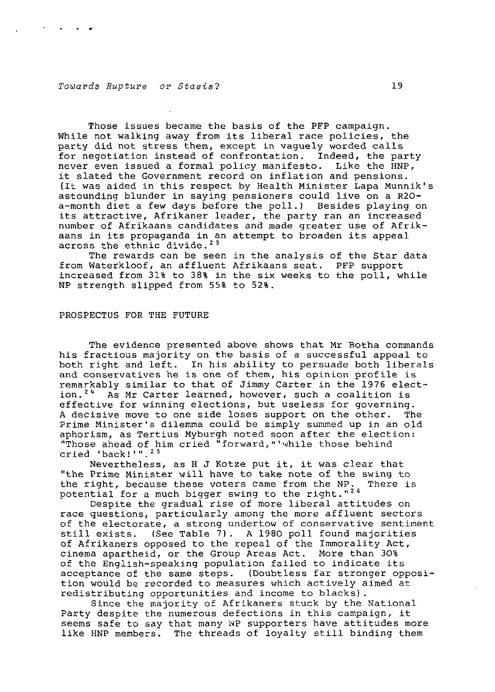Those issues became the basis of the PFP campaign. While not walking away from its liberal race policies, the party did not stress them, except in vaguely worded calls for negotiation instead of confrontation. Indeed, the party never even issued a formal policy manifesto. Like the HNP, it slated the Government record on inflation and pensions. (It was aided in this respect by Health Minister Lapa Munnik's astounding blunder in saying pensioners could live on a R20 a-month diet a few days before the poll.) Besides playing on its attractive, Afrikaner leader, the party ran an increased number of Afrikaans candidates and made greater use of Afrikaans in its propaganda in an attempt to broaden its appeal aans in its propaganua in a<br>across the ethnic divide.<sup>23</sup>

The rewards can be seen in the analysis of the Star data from Waterkloof, an affluent Afrikaans seat. PFP support increased from 31% to 38% in the six weeks to the poll, while NP strength slipped from 55% to 52%.

#### PROSPECTUS FOR THE FUTURE

The evidence presented above shows that Mr Botha commands his fractious majority on the basis of a successful appeal to both right and left. In his ability to persuade both liberals and conservatives he is one of them, his opinion profile is remarkably similar to that of Jimmy Carter in the 1976 elect-<br>ion.<sup>24</sup> As Mr Carter learned, however, such a coalition is As Mr Carter learned, however, such a coalition is effective for winning elections, but useless for governing. A decisive move to one side loses support on the other. The Prime Minister's dilemma could be simply summed up in an old aphorism, as Tertius Myburgh noted soon after the election: "Those ahead of him cried "forward,"'while those behind cried 'back!'".<sup>25</sup>

Nevertheless, as H J Kotze put it, it was clear that "the Prime Minister will have to take note of the swing to<br>the right, because these voters came from the NP. There is the right, because these voters came from the NP. potential for a much bigger swing to the right."<sup>26</sup>

Despite the gradual rise of more liberal attitudes on race questions, particularly among the more affluent sectors of the electorate, a strong undertow of conservative sentiment still exists. (See Table 7). A 1980 poll found majorities of Afrikaners opposed to the repeal of the Immorality Act, cinema apartheid, or the Group Areas Act. More than 30% of the English-speaking population failed to indicate its acceptance of the same steps. (Doubtless far stronger opposition would be recorded to measures which actively aimed at redistributing opportunities and income to blacks).

Since the majority of Afrikaners stuck by the National Party despite the numerous defections in this campaign, it seems safe to say that many NP supporters have attitudes more like HNP members. The threads of loyalty still binding them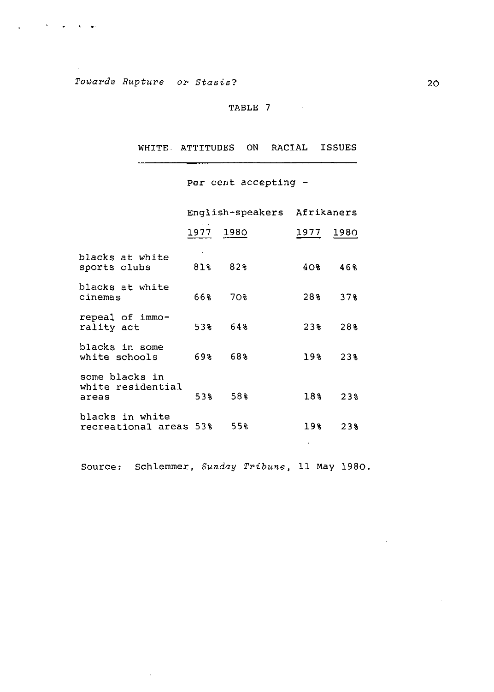**Contract Contract Contract Contract Contract Contract Contract Contract Contract Contract Contract Contract Contract Contract Contract Contract Contract Contract Contract Contract Contract Contract Contract Contract Contr** 

 $\ddot{\phantom{a}}$ 

# TABLE 7

WHITE- ATTITUDES ON RACIAL ISSUES

Per cent accepting -

|                                              | English-speakers Afrikaners |     |        |                 |
|----------------------------------------------|-----------------------------|-----|--------|-----------------|
|                                              | 1977 1980                   |     | 1977 - | 1980.           |
| blacks at white<br>sports clubs              | 81%                         | 82% | 408    | 468             |
| blacks at white<br>cinemas                   | 668                         | 70% | 28%    | 378             |
| repeal of immo-<br>rality act                | 538                         | 648 | 238    | 28%             |
| blacks in some<br>white schools              | 698                         | 68% | 193    | 238             |
| some blacks in<br>white residential<br>areas | 538                         | 58% | 188    | 23 <sub>8</sub> |
| blacks in white<br>recreational areas 53%    |                             | 558 | 198    | 238             |
|                                              |                             |     |        |                 |

Source: Schlemmer, Sunday Tribune, 11 May 1980.

 $\mathcal{L}$ 

 $\hat{\boldsymbol{\beta}}$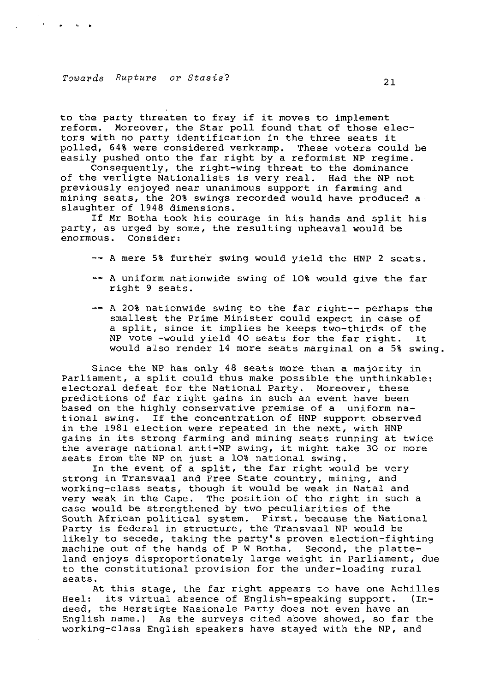to the party threaten to fray if it moves to implement reform. Moreover, the Star poll found that of those electors with no party identification in the three seats it polled, 64% were considered verkramp. These voters could be easily pushed onto the far right by a reformist NP regime.

Consequently, the right-wing threat to the dominance of the verligte Nationalists is very real. Had the NP not previously enjoyed near unanimous support in farming and mining seats, the 20% swings recorded would have produced a slaughter of 1948 dimensions.

If Mr Botha took his courage in his hands and split his party, as urged by some, the resulting upheaval would be enormous. Consider:

— A mere 5% further swing would yield the HNP 2 seats.

- A uniform nationwide swing of 10% would give the far right 9 seats.
- A 20% nationwide swing to the far right— perhaps the smallest the Prime Minister could expect in case of a split, since it implies he keeps two-thirds of the NP vote -would yield 40 seats for the far right. It would also render 14 more seats marginal on a 5% swing

Since the NP has only 48 seats more than a majority in Parliament, a split could thus make possible the unthinkable: electoral defeat for the National Party. Moreover, these predictions of far right gains in such an event have been based on the highly conservative premise of a uniform national swing. If the concentration of HNP support observed in the 1981 election were repeated in the next, with HNP gains in its strong farming and mining seats running at twice the average national anti-NP swing, it might take 30 or more seats from the NP on just a 10% national swing.

In the event of a split, the far right would be very strong in Transvaal and Free State country, mining, and working-class seats, though it would be weak in Natal and very weak in the Cape. The position of the right in such a case would be strengthened by two peculiarities of the South African political system. First, because the National Party is federal in structure, the Transvaal NP would be likely to secede, taking the party's proven election-fighting machine out of the hands of P W Botha. Second, the platteland enjoys disproportionately large weight in Parliament, due to the constitutional provision for the under-loading rural seats.

At this stage, the far right appears to have one Achilles Heel: its virtual absence of English-speaking support. (Indeed, the Herstigte Nasionale Party does not even have an English name.) As the surveys cited above showed, so far the working-class English speakers have stayed with the NP, and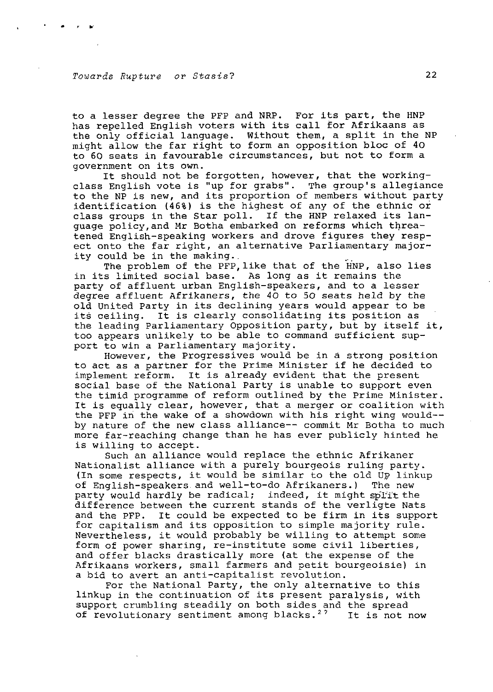to a lesser degree the PFP and NRP. For its part, the HNP has repelled English voters with its call for Afrikaans as the only official language. Without them, a split in the NP might allow the far right to form an opposition bloc of 40 to 60 seats in favourable circumstances, but not to form a government on its own.

It should not be forgotten, however, that the workingclass English vote is "up for grabs". The group's allegiance to the NP is new, and its proportion of members without party identification (46%) is the highest of any of the ethnic or class groups in the Star poll. If the HNP relaxed its language policy,and Mr Botha embarked on reforms which threatened English-speaking workers and drove figures they respect onto the far right, an alternative Parliamentary majority could be in the making..

The problem of the PFP, like that of the HNP, also lies in its limited social base. As long as it remains the party of affluent urban English-speakers, and to a lesser degree affluent Afrikaners, the 40 to 50 seats held by the old United Party in its declining years would appear to be its ceiling. It is clearly consolidating its position as the leading Parliamentary Opposition party, but by itself it, too appears unlikely to be able to command sufficient support to win a Parliamentary majority.

However, the Progressives would be in a strong position to act as a partner for the Prime Minister if he decided to implement reform. It is already evident that the present social base of the National Party is unable to support even the timid programme of reform outlined by the Prime Minister. It is equally clear, however, that a merger or coalition with the PFP in the wake of a showdown with his right wing would-by nature of the new class alliance— commit Mr Botha to much more far-reaching change than he has ever publicly hinted he is willing to accept.

Such an alliance would replace the ethnic Afrikaner Nationalist alliance with a purely bourgeois ruling party. (In some respects, it would be similar to the old UP linkup of English-speakers and well-to-do Afrikaners.) The new party would hardly be radical; indeed, it might split the difference between the current stands of the verligte Nats and the PFP. It could be expected to be firm in its support for capitalism and its opposition to simple majority rule. Nevertheless, it would probably be willing to attempt some form of power sharing, re-institute some civil liberties, and offer blacks drastically more (at the expense of the Afrikaans workers, small farmers and petit bourgeoisie) in a bid to avert an anti-capitalist revolution.

For the National Party, the only alternative to this linkup in the continuation of its present paralysis, with support crumbling steadily on both sides and the spread of revolutionary sentiment among blacks.<sup>27</sup> It is not now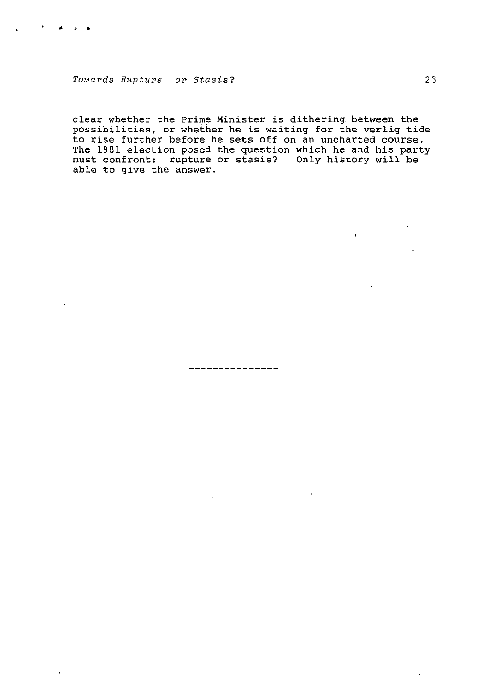clear whether the Prime Minister is dithering, between the possibilities, or whether he is waiting for the verlig tide to rise further before he sets off on an uncharted course. The 1981 election posed the question which he and his party must confront: rupture or stasis? Only history will be able to give the answer.

-------------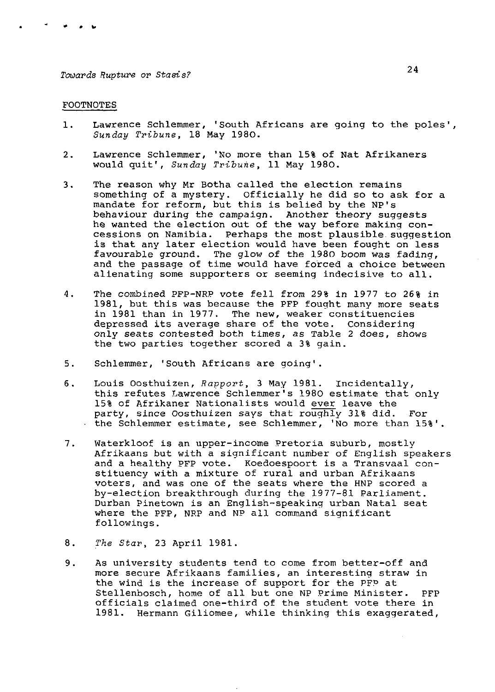#### FOOTNOTES

- 1. Lawrence Schlemmer, 'South Africans are going to the poles', Sunday Tribune, 18 May 1980.
- 2. Lawrence Schlemmer, 'No more than 15% of Nat Afrikaners would quit', Sunday Tribune, 11 May 1980.
- 3. The reason why Mr Botha called the election remains something of a mystery. officially he did so to ask for a mandate for reform, but this is belied by the NP's behaviour during the campaign. Another theory suggests he wanted the election out of the way before making concessions on Namibia. Perhaps the most plausible, suggestion is that any later election would have been fought on less favourable ground. The glow of the 1980 boom was fading, and the passage of time would have forced a choice between alienating some supporters or seeming indecisive to all.
- 4. The combined PFP-NRP vote fell from 29% in 1977 to 26% in 1981, but this was because the PFP fought many more seats in 1981 than in 1977. The new, weaker constituencies depressed its average share of the vote. Considering only seats contested both times, as Table 2 does, shows the two parties together scored a 3% gain.
- 5. Schlemmer, 'South Africans are going'.
- 6. Louis Oosthuizen, Rapport, 3 May 1981. Incidentally, this refutes Lawrence Schlemmer's 1980 estimate that only 15% of Afrikaner Nationalists would ever leave the party, since Oosthuizen says that roughly 31% did. For • the Schlemmer estimate, see Schlemmer, 'No more than 15%'.
- 7. Waterkloof is an upper-income Pretoria suburb, mostly Afrikaans but with a significant number of English speakers and a healthy PFP vote. Koedoespoort is a Transvaal constituency with a mixture of rural and urban Afrikaans voters, and was one of the seats where the HNP scored a by-election breakthrough during the 1977-81 Parliament. Durban Pinetown is an English-speaking urban Natal seat where the PFP, NRP and NP all command significant followings.
- 8. The Star, 23 April 1981.
- 9. As university students tend to come from better-off and more secure Afrikaans families, an interesting straw in the wind is the increase of support for the PFP at Stellenbosch, home of all but one NP Prime Minister. PFP officials claimed one-third of the student vote there in 1981. Hermann Giliomee, while thinking this exaggerated,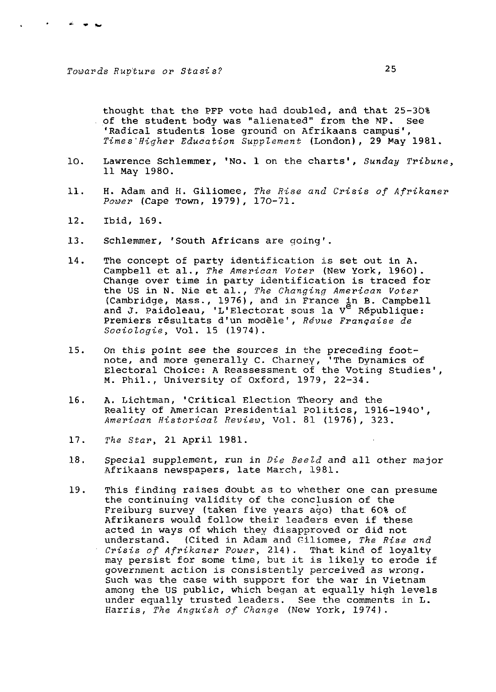thought that the PFP vote had doubled, and that 25-30% . of the student body was "alienated" from the NP. See 'Radical students lose ground on Afrikaans campus'. Times Higher Education Supplement (London), 29 May 1981.

- 10. Lawrence Schlemmer, 'No. 1 on the charts', Sunday Tribune, 11 May 1980.
- 11. H. Adam and H. Giliomee, The Rise and Crisis of Afrikaner Power (Cape Town, 1979), 170-71.
- 12. Ibid, 169.
- 13. Schlemmer, 'South Africans are going'.
- 14. The concept of party identification is set out in A. Campbell et al., The American Voter (New York, I960). Change over time in party identification is traced for the US in N. Nie et al., The Changing American Voter (Cambridge, Mass., 1976), and in France in B. Campbell and J. Paidoleau, 'L'Electorat sous la V<sup>e</sup> République: Premiers résultats d'un modèle', Révue Française de Sociologie, Vol. 15 (1974).
- 15. On this point see the sources in the preceding footnote, and more generally C. Charney, 'The Dynamics of Electoral Choice: A Reassessment of the Voting Studies', M. Phil., University of Oxford, 1979, 22-34.
- 16. A. Lichtman, 'Critical Election Theory and the Reality of American Presidential Politics, 1916-1940', American Historical Review, Vol. 81 (1976), 323.
- 17. The Star, 21 April 1981.
- 18. Special supplement, run in Die Beeld and all other major Afrikaans newspapers, late March, 1981.
- 19. This finding raises doubt as to whether one can presume the continuing validity of the conclusion of the Freiburg survey (taken five years ago) that 60% of Afrikaners would follow their leaders even if these acted in ways of which they disapproved or did not understand. (Cited in Adam and Giliomee, The Rise and Crisis of Afrikaner Power, 214). That kind of loyalty may persist for some time, but it is likely to erode if government action is consistently perceived as wrong. Such was the case with support for the war in Vietnam among the US public, which began at equally high levels under equally trusted leaders. See the comments in L. Harris, The Anguish of Change (New York, 1974).